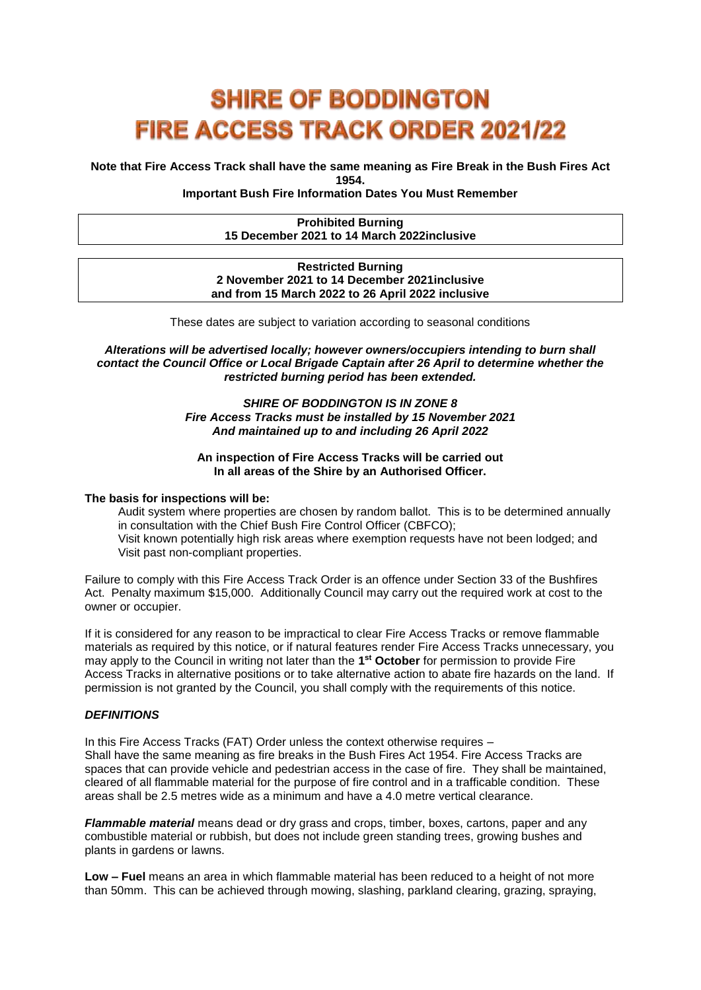# **SHIRE OF BODDINGTON FIRE ACCESS TRACK ORDER 2021/22**

**Note that Fire Access Track shall have the same meaning as Fire Break in the Bush Fires Act 1954.**

**Important Bush Fire Information Dates You Must Remember**

## **Prohibited Burning 15 December 2021 to 14 March 2022inclusive**

#### **Restricted Burning 2 November 2021 to 14 December 2021inclusive and from 15 March 2022 to 26 April 2022 inclusive**

These dates are subject to variation according to seasonal conditions

*Alterations will be advertised locally; however owners/occupiers intending to burn shall contact the Council Office or Local Brigade Captain after 26 April to determine whether the restricted burning period has been extended.*

> *SHIRE OF BODDINGTON IS IN ZONE 8 Fire Access Tracks must be installed by 15 November 2021 And maintained up to and including 26 April 2022*

#### **An inspection of Fire Access Tracks will be carried out In all areas of the Shire by an Authorised Officer.**

#### **The basis for inspections will be:**

Audit system where properties are chosen by random ballot. This is to be determined annually in consultation with the Chief Bush Fire Control Officer (CBFCO); Visit known potentially high risk areas where exemption requests have not been lodged; and Visit past non-compliant properties.

Failure to comply with this Fire Access Track Order is an offence under Section 33 of the Bushfires Act. Penalty maximum \$15,000. Additionally Council may carry out the required work at cost to the owner or occupier.

If it is considered for any reason to be impractical to clear Fire Access Tracks or remove flammable materials as required by this notice, or if natural features render Fire Access Tracks unnecessary, you may apply to the Council in writing not later than the **1 st October** for permission to provide Fire Access Tracks in alternative positions or to take alternative action to abate fire hazards on the land. If permission is not granted by the Council, you shall comply with the requirements of this notice.

# *DEFINITIONS*

In this Fire Access Tracks (FAT) Order unless the context otherwise requires – Shall have the same meaning as fire breaks in the Bush Fires Act 1954. Fire Access Tracks are spaces that can provide vehicle and pedestrian access in the case of fire. They shall be maintained, cleared of all flammable material for the purpose of fire control and in a trafficable condition. These areas shall be 2.5 metres wide as a minimum and have a 4.0 metre vertical clearance.

*Flammable material* means dead or dry grass and crops, timber, boxes, cartons, paper and any combustible material or rubbish, but does not include green standing trees, growing bushes and plants in gardens or lawns.

**Low – Fuel** means an area in which flammable material has been reduced to a height of not more than 50mm. This can be achieved through mowing, slashing, parkland clearing, grazing, spraying,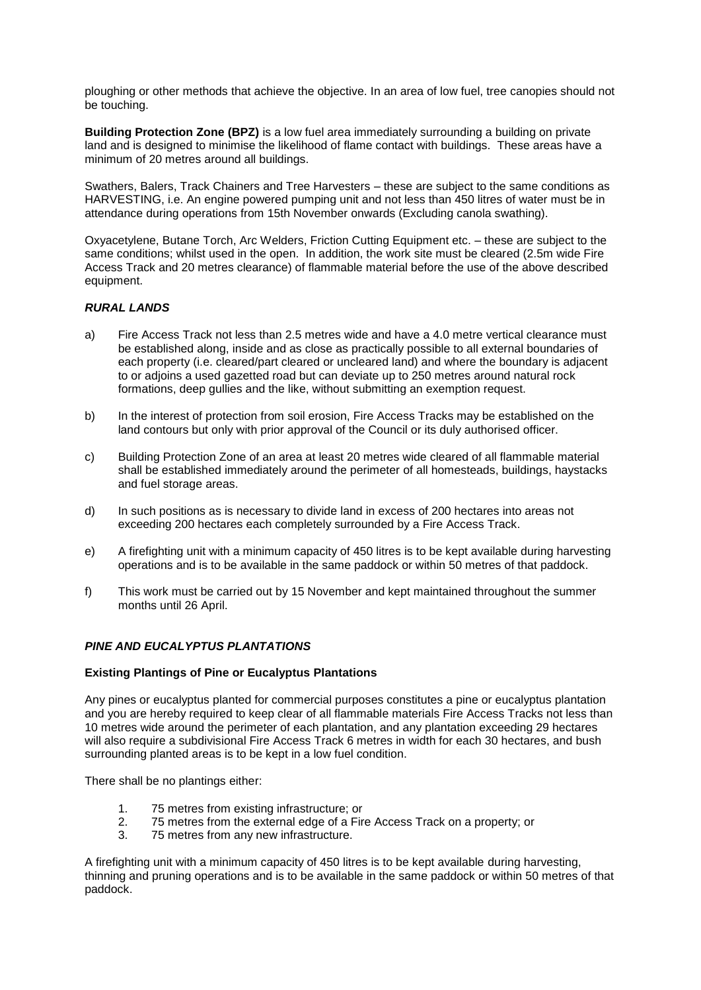ploughing or other methods that achieve the objective. In an area of low fuel, tree canopies should not be touching.

**Building Protection Zone (BPZ)** is a low fuel area immediately surrounding a building on private land and is designed to minimise the likelihood of flame contact with buildings. These areas have a minimum of 20 metres around all buildings.

Swathers, Balers, Track Chainers and Tree Harvesters – these are subject to the same conditions as HARVESTING, i.e. An engine powered pumping unit and not less than 450 litres of water must be in attendance during operations from 15th November onwards (Excluding canola swathing).

Oxyacetylene, Butane Torch, Arc Welders, Friction Cutting Equipment etc. – these are subject to the same conditions; whilst used in the open. In addition, the work site must be cleared (2.5m wide Fire Access Track and 20 metres clearance) of flammable material before the use of the above described equipment.

# *RURAL LANDS*

- a) Fire Access Track not less than 2.5 metres wide and have a 4.0 metre vertical clearance must be established along, inside and as close as practically possible to all external boundaries of each property (i.e. cleared/part cleared or uncleared land) and where the boundary is adjacent to or adjoins a used gazetted road but can deviate up to 250 metres around natural rock formations, deep gullies and the like, without submitting an exemption request.
- b) In the interest of protection from soil erosion, Fire Access Tracks may be established on the land contours but only with prior approval of the Council or its duly authorised officer.
- c) Building Protection Zone of an area at least 20 metres wide cleared of all flammable material shall be established immediately around the perimeter of all homesteads, buildings, haystacks and fuel storage areas.
- d) In such positions as is necessary to divide land in excess of 200 hectares into areas not exceeding 200 hectares each completely surrounded by a Fire Access Track.
- e) A firefighting unit with a minimum capacity of 450 litres is to be kept available during harvesting operations and is to be available in the same paddock or within 50 metres of that paddock.
- f) This work must be carried out by 15 November and kept maintained throughout the summer months until 26 April.

# *PINE AND EUCALYPTUS PLANTATIONS*

#### **Existing Plantings of Pine or Eucalyptus Plantations**

Any pines or eucalyptus planted for commercial purposes constitutes a pine or eucalyptus plantation and you are hereby required to keep clear of all flammable materials Fire Access Tracks not less than 10 metres wide around the perimeter of each plantation, and any plantation exceeding 29 hectares will also require a subdivisional Fire Access Track 6 metres in width for each 30 hectares, and bush surrounding planted areas is to be kept in a low fuel condition.

There shall be no plantings either:

- 1. 75 metres from existing infrastructure; or
- 2. 75 metres from the external edge of a Fire Access Track on a property; or
- 3. 75 metres from any new infrastructure.

A firefighting unit with a minimum capacity of 450 litres is to be kept available during harvesting, thinning and pruning operations and is to be available in the same paddock or within 50 metres of that paddock.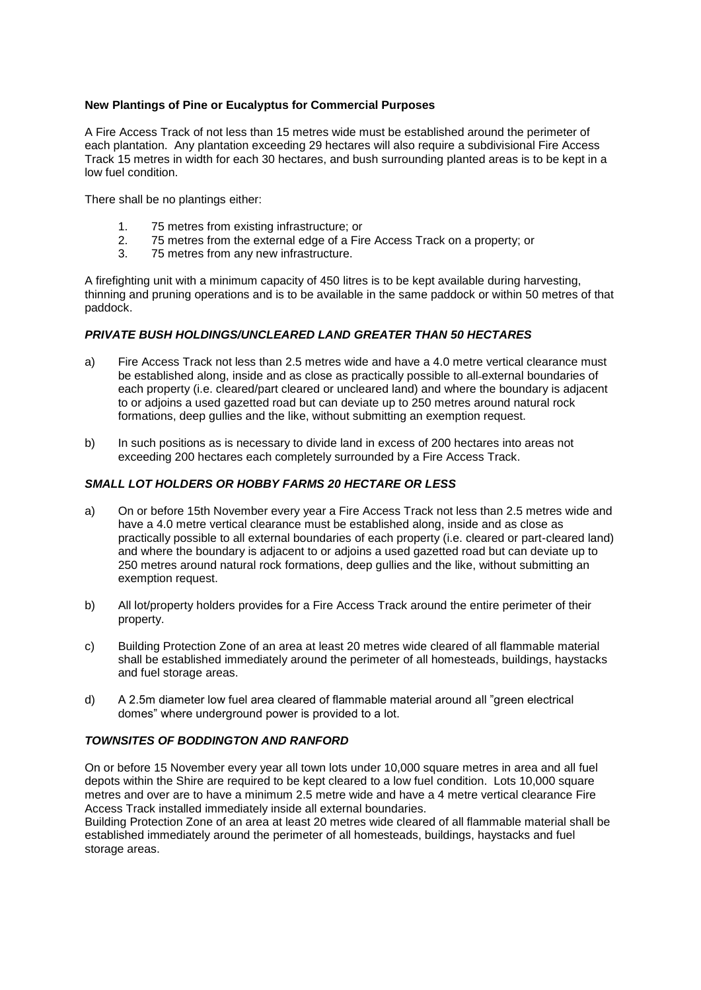## **New Plantings of Pine or Eucalyptus for Commercial Purposes**

A Fire Access Track of not less than 15 metres wide must be established around the perimeter of each plantation. Any plantation exceeding 29 hectares will also require a subdivisional Fire Access Track 15 metres in width for each 30 hectares, and bush surrounding planted areas is to be kept in a low fuel condition.

There shall be no plantings either:

- 1. 75 metres from existing infrastructure; or
- 2. 75 metres from the external edge of a Fire Access Track on a property; or
- 3. 75 metres from any new infrastructure.

A firefighting unit with a minimum capacity of 450 litres is to be kept available during harvesting, thinning and pruning operations and is to be available in the same paddock or within 50 metres of that paddock.

## *PRIVATE BUSH HOLDINGS/UNCLEARED LAND GREATER THAN 50 HECTARES*

- a) Fire Access Track not less than 2.5 metres wide and have a 4.0 metre vertical clearance must be established along, inside and as close as practically possible to all-external boundaries of each property (i.e. cleared/part cleared or uncleared land) and where the boundary is adjacent to or adjoins a used gazetted road but can deviate up to 250 metres around natural rock formations, deep gullies and the like, without submitting an exemption request.
- b) In such positions as is necessary to divide land in excess of 200 hectares into areas not exceeding 200 hectares each completely surrounded by a Fire Access Track.

## *SMALL LOT HOLDERS OR HOBBY FARMS 20 HECTARE OR LESS*

- a) On or before 15th November every year a Fire Access Track not less than 2.5 metres wide and have a 4.0 metre vertical clearance must be established along, inside and as close as practically possible to all external boundaries of each property (i.e. cleared or part-cleared land) and where the boundary is adjacent to or adjoins a used gazetted road but can deviate up to 250 metres around natural rock formations, deep gullies and the like, without submitting an exemption request.
- b) All lot/property holders provides for a Fire Access Track around the entire perimeter of their property.
- c) Building Protection Zone of an area at least 20 metres wide cleared of all flammable material shall be established immediately around the perimeter of all homesteads, buildings, haystacks and fuel storage areas.
- d) A 2.5m diameter low fuel area cleared of flammable material around all "green electrical domes" where underground power is provided to a lot.

# *TOWNSITES OF BODDINGTON AND RANFORD*

On or before 15 November every year all town lots under 10,000 square metres in area and all fuel depots within the Shire are required to be kept cleared to a low fuel condition. Lots 10,000 square metres and over are to have a minimum 2.5 metre wide and have a 4 metre vertical clearance Fire Access Track installed immediately inside all external boundaries.

Building Protection Zone of an area at least 20 metres wide cleared of all flammable material shall be established immediately around the perimeter of all homesteads, buildings, haystacks and fuel storage areas.